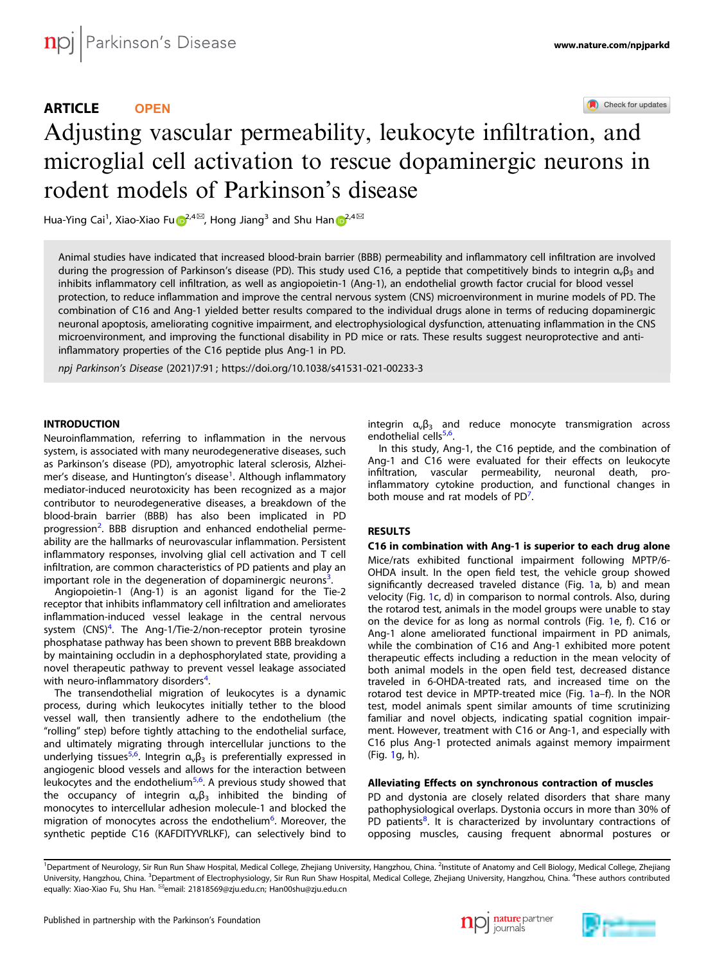# ARTICLE **OPEN**

Check for updates

# Adjusting vascular permeability, leukocyte infiltratio[n](http://crossmark.crossref.org/dialog/?doi=10.1038/s41531-021-00233-3&domain=pdf), and microglial cell activation to rescue dopaminergic neurons in rodent models of Parkinson's disease

H[u](http://orcid.org/0000-0001-6920-9564)a-Yi[n](http://orcid.org/0000-0002-7800-2394)g Cai<sup>1</sup>, Xiao-Xiao Fu $\mathbf{D}^{2,4\boxtimes}$  $\mathbf{D}^{2,4\boxtimes}$  $\mathbf{D}^{2,4\boxtimes}$ , Hong Jiang $^3$  and Shu Han $\mathbf{D}^{2,4\boxtimes}$ 

Animal studies have indicated that increased blood-brain barrier (BBB) permeability and inflammatory cell infiltration are involved during the progression of Parkinson's disease (PD). This study used C16, a peptide that competitively binds to integrin  $\alpha_v\beta_3$  and inhibits inflammatory cell infiltration, as well as angiopoietin-1 (Ang-1), an endothelial growth factor crucial for blood vessel protection, to reduce inflammation and improve the central nervous system (CNS) microenvironment in murine models of PD. The combination of C16 and Ang-1 yielded better results compared to the individual drugs alone in terms of reducing dopaminergic neuronal apoptosis, ameliorating cognitive impairment, and electrophysiological dysfunction, attenuating inflammation in the CNS microenvironment, and improving the functional disability in PD mice or rats. These results suggest neuroprotective and antiinflammatory properties of the C16 peptide plus Ang-1 in PD.

npj Parkinson's Disease (2021) 7:91 ; https://doi.org/1[0.1038/s41531-021-00233-3](https://doi.org/10.1038/s41531-021-00233-3)

# **INTRODUCTION**

Neuroinflammation, referring to inflammation in the nervous system, is associated with many neurodegenerative diseases, such as Parkinson's disease (PD), amyotrophic lateral sclerosis, Alzhei-mer's disease, and Huntington's disease<sup>[1](#page-14-0)</sup>. Although inflammatory mediator-induced neurotoxicity has been recognized as a major contributor to neurodegenerative diseases, a breakdown of the blood-brain barrier (BBB) has also been implicated in PD progression<sup>[2](#page-14-0)</sup>. BBB disruption and enhanced endothelial permeability are the hallmarks of neurovascular inflammation. Persistent inflammatory responses, involving glial cell activation and T cell infiltration, are common characteristics of PD patients and play an important role in the degeneration of dopaminergic neurons<sup>[3](#page-14-0)</sup>. .

Angiopoietin-1 (Ang-1) is an agonist ligand for the Tie-2 receptor that inhibits inflammatory cell infiltration and ameliorates inflammation-induced vessel leakage in the central nervous system (CNS)<sup>[4](#page-14-0)</sup>. The Ang-1/Tie-2/non-receptor protein tyrosine phosphatase pathway has been shown to prevent BBB breakdown by maintaining occludin in a dephosphorylated state, providing a novel therapeutic pathway to prevent vessel leakage associated with neuro-inflammatory disorders $4$ . .

The transendothelial migration of leukocytes is a dynamic process, during which leukocytes initially tether to the blood vessel wall, then transiently adhere to the endothelium (the "rolling" step) before tightly attaching to the endothelial surface, and ultimately migrating through intercellular junctions to the underlying tissues<sup>[5,6](#page-14-0)</sup>. Integrin  $\alpha_{\nu}\beta_3$  is preferentially expressed in angiogenic blood vessels and allows for the interaction between leukocytes and the endothelium<sup>[5,6](#page-14-0)</sup>. A previous study showed that the occupancy of integrin  $\alpha_{\nu}\beta_3$  inhibited the binding of monocytes to intercellular adhesion molecule-1 and blocked the migration of monocytes across the endothelium<sup>[6](#page-14-0)</sup>. Moreover, the synthetic peptide C16 (KAFDITYVRLKF), can selectively bind to integrin  $\alpha_v \beta_3$  and reduce monocyte transmigration across endothelial cells<sup>[5,6](#page-14-0)</sup>. .

In this study, Ang-1, the C16 peptide, and the combination of Ang-1 and C16 were evaluated for their effects on leukocyte infiltration, vascular permeability, neuronal death, proinflammatory cytokine production, and functional changes in both mouse and rat models of PD<sup>[7](#page-14-0)</sup>. .

# **RESULTS**

# C16 in combination with Ang-1 is superior to each drug alone

Mice/rats exhibited functional impairment following MPTP/6- OHDA insult. In the open field test, the vehicle group showed significantly decreased traveled distance (Fig. [1](#page-1-0)a, b) and mean velocity (Fig. [1](#page-1-0)c, d) in comparison to normal controls. Also, during the rotarod test, animals in the model groups were unable to stay on the device for as long as normal controls (Fig. [1e](#page-1-0), f). C16 or Ang-1 alone ameliorated functional impairment in PD animals, while the combination of C16 and Ang-1 exhibited more potent therapeutic effects including a reduction in the mean velocity of both animal models in the open field test, decreased distance traveled in 6-OHDA-treated rats, and increased time on the rotarod test device in MPTP-treated mice (Fig. [1a](#page-1-0)–f). In the NOR test, model animals spent similar amounts of time scrutinizing familiar and novel objects, indicating spatial cognition impairment. However, treatment with C16 or Ang-1, and especially with C16 plus Ang-1 protected animals against memory impairment (Fig. [1](#page-1-0)g, h).

# Alleviating Effects on synchronous contraction of muscles

PD and dystonia are closely related disorders that share many pathophysiological overlaps. Dystonia occurs in more than 30% of PD patients<sup>[8](#page-14-0)</sup>. It is characterized by involuntary contractions of opposing muscles, causing frequent abnormal postures or





<sup>&</sup>lt;sup>1</sup>Department of Neurology, Sir Run Run Shaw Hospital, Medical College, Zhejiang University, Hangzhou, China. <sup>2</sup>Institute of Anatomy and Cell Biology, Medical College, Zhejiang University, Hangzhou, China. <sup>3</sup>Department of Electrophysiology, Sir Run Run Shaw Hospital, Medical College, Zhejiang University, Hangzhou, China. <sup>4</sup>These authors contributed equally: Xiao-Xiao Fu, Shu Han. <sup>io</sup>email: [21818569@zju.edu.cn](mailto:21818569@zju.edu.cn); [Han00shu@zju.edu.cn](mailto:Han00shu@zju.edu.cn)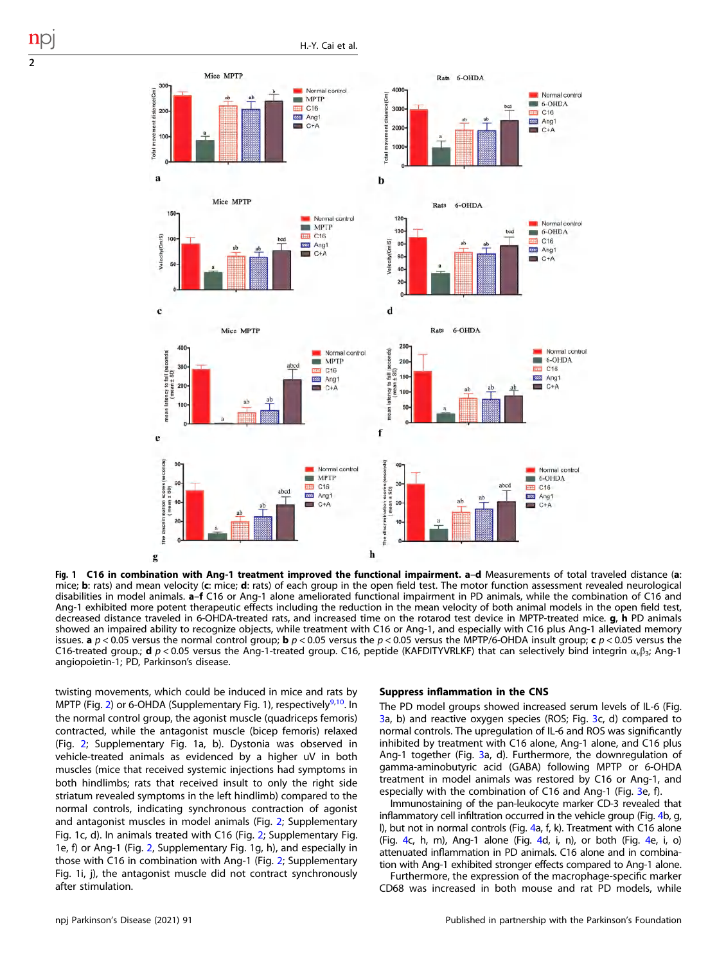

Fig. 1 C16 in combination with Ang-1 treatment improved the functional impairment. a-d Measurements of total traveled distance (a: mice; b: rats) and mean velocity (c: mice; d: rats) of each group in the open field test. The motor function assessment revealed neurological disabilities in model animals. a–f C16 or Ang-1 alone ameliorated functional impairment in PD animals, while the combination of C16 and Ang-1 exhibited more potent therapeutic effects including the reduction in the mean velocity of both animal models in the open field test, decreased distance traveled in 6-OHDA-treated rats, and increased time on the rotarod test device in MPTP-treated mice. g, h PD animals showed an impaired ability to recognize objects, while treatment with C16 or Ang-1, and especially with C16 plus Ang-1 alleviated memory issues. **a**  $p < 0.05$  versus the normal control group; **b**  $p < 0.05$  versus the  $p < 0.05$  versus the MPTP/6-OHDA insult group; **c**  $p < 0.05$  versus the C16-treated group.; **d**  $p < 0.05$  versus the Ang-1-treated group. C16, peptide (KAFDITYVRLKF) that can selectively bind integrin  $\alpha_1\beta_2$ ; Ang-1 angiopoietin-1; PD, Parkinson's disease.

twisting movements, which could be induced in mice and rats by MPTP (Fig. [2\)](#page-2-0) or 6-OHDA (Supplementary Fig. 1), respectively<sup>[9](#page-14-0),[10](#page-14-0)</sup>. In the normal control group, the agonist muscle (quadriceps femoris) contracted, while the antagonist muscle (bicep femoris) relaxed (Fig. [2;](#page-2-0) Supplementary Fig. 1a, b). Dystonia was observed in vehicle-treated animals as evidenced by a higher uV in both muscles (mice that received systemic injections had symptoms in both hindlimbs; rats that received insult to only the right side striatum revealed symptoms in the left hindlimb) compared to the normal controls, indicating synchronous contraction of agonist and antagonist muscles in model animals (Fig. [2](#page-2-0); Supplementary Fig. 1c, d). In animals treated with C16 (Fig. [2](#page-2-0); Supplementary Fig. 1e, f) or Ang-1 (Fig. [2](#page-2-0), Supplementary Fig. 1g, h), and especially in those with C16 in combination with Ang-1 (Fig. [2;](#page-2-0) Supplementary Fig. 1i, j), the antagonist muscle did not contract synchronously after stimulation.

#### Suppress inflammation in the CNS

The PD model groups showed increased serum levels of IL-6 (Fig. [3a](#page-3-0), b) and reactive oxygen species (ROS; Fig. [3c](#page-3-0), d) compared to normal controls. The upregulation of IL-6 and ROS was significantly inhibited by treatment with C16 alone, Ang-1 alone, and C16 plus Ang-1 together (Fig. [3a](#page-3-0), d). Furthermore, the downregulation of gamma-aminobutyric acid (GABA) following MPTP or 6-OHDA treatment in model animals was restored by C16 or Ang-1, and especially with the combination of C16 and Ang-1 (Fig. [3](#page-3-0)e, f).

Immunostaining of the pan-leukocyte marker CD-3 revealed that inflammatory cell infiltration occurred in the vehicle group (Fig. [4](#page-4-0)b, g, l), but not in normal controls (Fig. [4a](#page-4-0), f, k). Treatment with C16 alone (Fig. [4c](#page-4-0), h, m), Ang-1 alone (Fig. [4](#page-4-0)d, i, n), or both (Fig. [4e](#page-4-0), i, o) attenuated inflammation in PD animals. C16 alone and in combination with Ang-1 exhibited stronger effects compared to Ang-1 alone.

Furthermore, the expression of the macrophage-specific marker CD68 was increased in both mouse and rat PD models, while

<span id="page-1-0"></span>2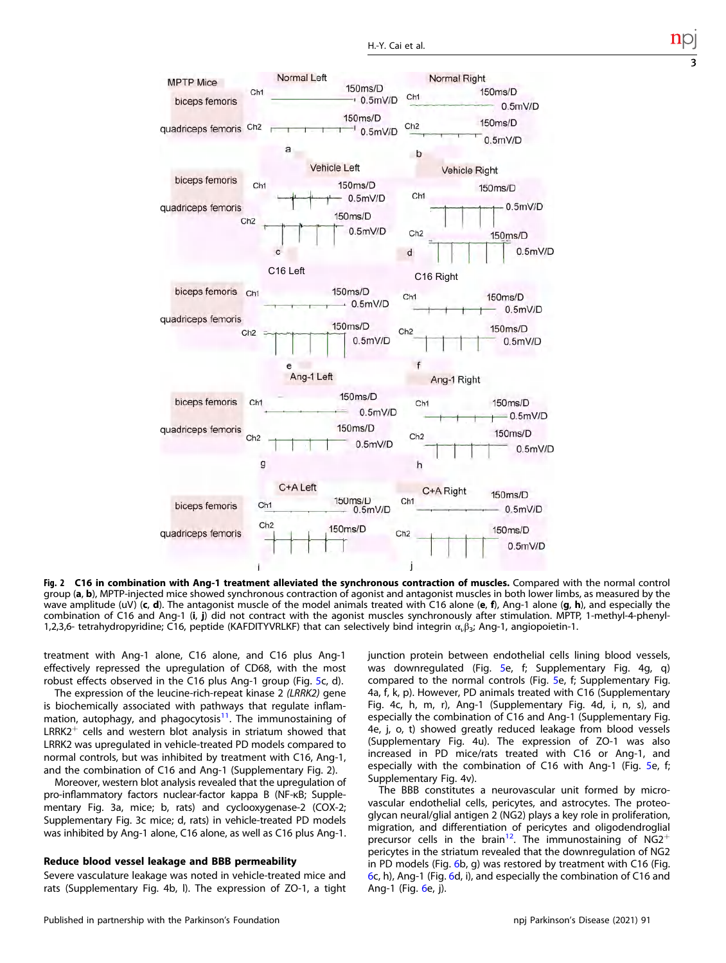<span id="page-2-0"></span>

Fig. 2 C16 in combination with Ang-1 treatment alleviated the synchronous contraction of muscles. Compared with the normal control group (a, b), MPTP-injected mice showed synchronous contraction of agonist and antagonist muscles in both lower limbs, as measured by the wave amplitude (uV)  $(c, d)$ . The antagonist muscle of the model animals treated with C16 alone (e, f), Ang-1 alone (g, h), and especially the combination of C16 and Ang-1 (i, j) did not contract with the agonist muscles synchronously after stimulation. MPTP, 1-methyl-4-phenyl-1,2,3,6- tetrahydropyridine; C16, peptide (KAFDITYVRLKF) that can selectively bind integrin  $\alpha_{\nu}\beta_{3}$ ; Ang-1, angiopoietin-1.

treatment with Ang-1 alone, C16 alone, and C16 plus Ang-1 effectively repressed the upregulation of CD68, with the most robust effects observed in the C16 plus Ang-1 group (Fig. [5c](#page-5-0), d).

The expression of the leucine-rich-repeat kinase 2 (LRRK2) gene is biochemically associated with pathways that regulate inflammation, autophagy, and phagocytosis $11$ . The immunostaining of  $LRRK2<sup>+</sup>$  cells and western blot analysis in striatum showed that LRRK2 was upregulated in vehicle-treated PD models compared to normal controls, but was inhibited by treatment with C16, Ang-1, and the combination of C16 and Ang-1 (Supplementary Fig. 2).

Moreover, western blot analysis revealed that the upregulation of pro-inflammatory factors nuclear-factor kappa B (NF-κB; Supplementary Fig. 3a, mice; b, rats) and cyclooxygenase-2 (COX-2; Supplementary Fig. 3c mice; d, rats) in vehicle-treated PD models was inhibited by Ang-1 alone, C16 alone, as well as C16 plus Ang-1.

# Reduce blood vessel leakage and BBB permeability

Severe vasculature leakage was noted in vehicle-treated mice and rats (Supplementary Fig. 4b, l). The expression of ZO-1, a tight junction protein between endothelial cells lining blood vessels, was downregulated (Fig. [5e](#page-5-0), f; Supplementary Fig. 4g, q) compared to the normal controls (Fig. [5](#page-5-0)e, f; Supplementary Fig. 4a, f, k, p). However, PD animals treated with C16 (Supplementary Fig. 4c, h, m, r), Ang-1 (Supplementary Fig. 4d, i, n, s), and especially the combination of C16 and Ang-1 (Supplementary Fig. 4e, j, o, t) showed greatly reduced leakage from blood vessels (Supplementary Fig. 4u). The expression of ZO-1 was also increased in PD mice/rats treated with C16 or Ang-1, and especially with the combination of C16 with Ang-1 (Fig. [5e](#page-5-0), f; Supplementary Fig. 4v).

The BBB constitutes a neurovascular unit formed by microvascular endothelial cells, pericytes, and astrocytes. The proteoglycan neural/glial antigen 2 (NG2) plays a key role in proliferation, migration, and differentiation of pericytes and oligodendroglial precursor cells in the brain<sup>12</sup>. The immunostaining of  $NG2^+$ pericytes in the striatum revealed that the downregulation of NG2 in PD models (Fig. [6](#page-6-0)b, g) was restored by treatment with C16 (Fig. [6](#page-6-0)c, h), Ang-1 (Fig. [6d](#page-6-0), i), and especially the combination of C16 and Ang-1 (Fig. [6e](#page-6-0), j).

3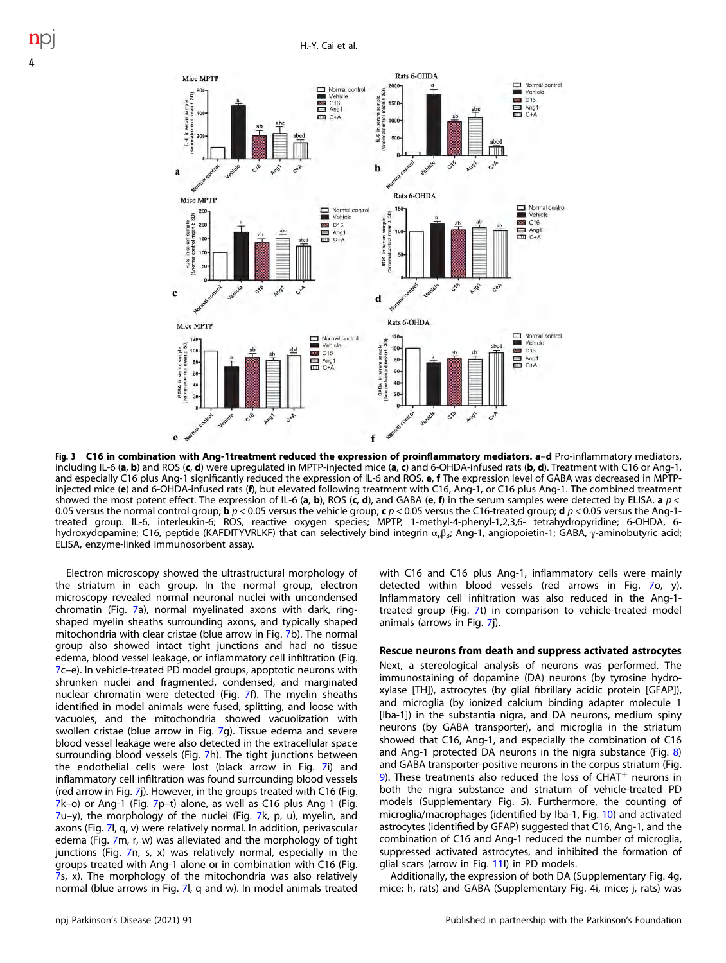

Fig. 3 C16 in combination with Ang-1treatment reduced the expression of proinflammatory mediators. a-d Pro-inflammatory mediators, including IL-6 (a, b) and ROS (c, d) were upregulated in MPTP-injected mice (a, c) and 6-OHDA-infused rats (b, d). Treatment with C16 or Ang-1, and especially C16 plus Ang-1 significantly reduced the expression of IL-6 and ROS. e, f The expression level of GABA was decreased in MPTPinjected mice (e) and 6-OHDA-infused rats (f), but elevated following treatment with C16, Ang-1, or C16 plus Ang-1. The combined treatment showed the most potent effect. The expression of IL-6 (a, b), ROS (c, d), and GABA (e, f) in the serum samples were detected by ELISA. a  $p <$ 0.05 versus the normal control group; **b**  $p < 0.05$  versus the vehicle group; **c**  $p < 0.05$  versus the C16-treated group; **d**  $p < 0.05$  versus the Ang-1treated group. IL-6, interleukin-6; ROS, reactive oxygen species; MPTP, 1-methyl-4-phenyl-1,2,3,6- tetrahydropyridine; 6-OHDA, 6 hydroxydopamine; C16, peptide (KAFDITYVRLKF) that can selectively bind integrin α<sub>ν</sub>β<sub>3</sub>; Ang-1, angiopoietin-1; GABA, γ-aminobutyric acid; ELISA, enzyme-linked immunosorbent assay.

Electron microscopy showed the ultrastructural morphology of the striatum in each group. In the normal group, electron microscopy revealed normal neuronal nuclei with uncondensed chromatin (Fig. [7](#page-7-0)a), normal myelinated axons with dark, ringshaped myelin sheaths surrounding axons, and typically shaped mitochondria with clear cristae (blue arrow in Fig. [7b](#page-7-0)). The normal group also showed intact tight junctions and had no tissue edema, blood vessel leakage, or inflammatory cell infiltration (Fig. [7c](#page-7-0)–e). In vehicle-treated PD model groups, apoptotic neurons with shrunken nuclei and fragmented, condensed, and marginated nuclear chromatin were detected (Fig. [7](#page-7-0)f). The myelin sheaths identified in model animals were fused, splitting, and loose with vacuoles, and the mitochondria showed vacuolization with swollen cristae (blue arrow in Fig. [7](#page-7-0)g). Tissue edema and severe blood vessel leakage were also detected in the extracellular space surrounding blood vessels (Fig. [7](#page-7-0)h). The tight junctions between the endothelial cells were lost (black arrow in Fig. [7i](#page-7-0)) and inflammatory cell infiltration was found surrounding blood vessels (red arrow in Fig. [7](#page-7-0)j). However, in the groups treated with C16 (Fig. [7k](#page-7-0)–o) or Ang-1 (Fig. [7](#page-7-0)p–t) alone, as well as C16 plus Ang-1 (Fig. [7u](#page-7-0)–y), the morphology of the nuclei (Fig. [7](#page-7-0)k, p, u), myelin, and axons (Fig. [7l](#page-7-0), q, v) were relatively normal. In addition, perivascular edema (Fig. [7m](#page-7-0), r, w) was alleviated and the morphology of tight junctions (Fig. [7](#page-7-0)n, s, x) was relatively normal, especially in the groups treated with Ang-1 alone or in combination with C16 (Fig. [7s](#page-7-0), x). The morphology of the mitochondria was also relatively normal (blue arrows in Fig. [7l](#page-7-0), q and w). In model animals treated with C16 and C16 plus Ang-1, inflammatory cells were mainly detected within blood vessels (red arrows in Fig. [7](#page-7-0)o, y). Inflammatory cell infiltration was also reduced in the Ang-1 treated group (Fig. [7t](#page-7-0)) in comparison to vehicle-treated model animals (arrows in Fig. [7](#page-7-0)j).

# Rescue neurons from death and suppress activated astrocytes

Next, a stereological analysis of neurons was performed. The immunostaining of dopamine (DA) neurons (by tyrosine hydroxylase [TH]), astrocytes (by glial fibrillary acidic protein [GFAP]), and microglia (by ionized calcium binding adapter molecule 1 [Iba-1]) in the substantia nigra, and DA neurons, medium spiny neurons (by GABA transporter), and microglia in the striatum showed that C16, Ang-1, and especially the combination of C16 and Ang-1 protected DA neurons in the nigra substance (Fig. [8\)](#page-8-0) and GABA transporter-positive neurons in the corpus striatum (Fig. [9\)](#page-9-0). These treatments also reduced the loss of CHAT<sup>+</sup> neurons in both the nigra substance and striatum of vehicle-treated PD models (Supplementary Fig. 5). Furthermore, the counting of microglia/macrophages (identified by Iba-1, Fig. [10](#page-10-0)) and activated astrocytes (identified by GFAP) suggested that C16, Ang-1, and the combination of C16 and Ang-1 reduced the number of microglia, suppressed activated astrocytes, and inhibited the formation of glial scars (arrow in Fig. [11](#page-11-0)l) in PD models.

Additionally, the expression of both DA (Supplementary Fig. 4g, mice; h, rats) and GABA (Supplementary Fig. 4i, mice; j, rats) was

<span id="page-3-0"></span>4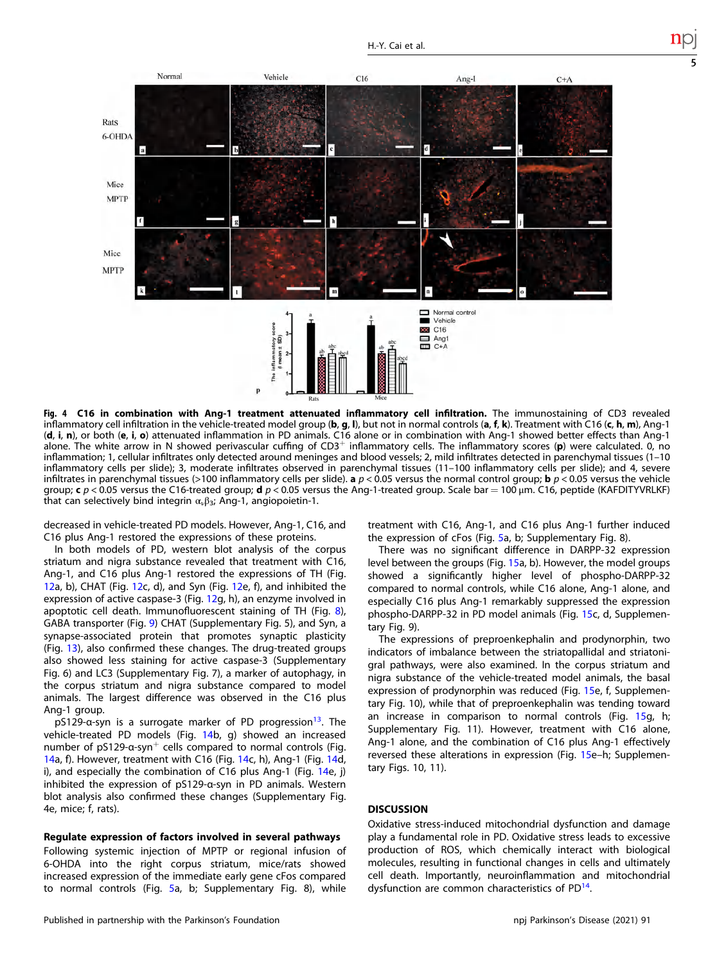<span id="page-4-0"></span>

Fig. 4 C16 in combination with Ang-1 treatment attenuated inflammatory cell infiltration. The immunostaining of CD3 revealed inflammatory cell infiltration in the vehicle-treated model group (b, g, l), but not in normal controls (a, f, k). Treatment with C16 (c, h, m), Ang-1 (d, i, n), or both (e, i, o) attenuated inflammation in PD animals. C16 alone or in combination with Ang-1 showed better effects than Ang-1 alone. The white arrow in N showed perivascular cuffing of  $CD3^+$  inflammatory cells. The inflammatory scores (p) were calculated. 0, no inflammation; 1, cellular infiltrates only detected around meninges and blood vessels; 2, mild infiltrates detected in parenchymal tissues (1–10 inflammatory cells per slide); 3, moderate infiltrates observed in parenchymal tissues (11–100 inflammatory cells per slide); and 4, severe infiltrates in parenchymal tissues (>100 inflammatory cells per slide). a  $p < 0.05$  versus the normal control group; **b**  $p < 0.05$  versus the vehicle group; c  $p$  < 0.05 versus the C16-treated group; d  $p$  < 0.05 versus the Ang-1-treated group. Scale bar = 100 μm. C16, peptide (KAFDITYVRLKF) that can selectively bind integrin  $\alpha_{\nu}\beta_{3}$ ; Ang-1, angiopoietin-1.

decreased in vehicle-treated PD models. However, Ang-1, C16, and C16 plus Ang-1 restored the expressions of these proteins.

In both models of PD, western blot analysis of the corpus striatum and nigra substance revealed that treatment with C16, Ang-1, and C16 plus Ang-1 restored the expressions of TH (Fig. [12](#page-11-0)a, b), CHAT (Fig. [12](#page-11-0)c, d), and Syn (Fig. [12](#page-11-0)e, f), and inhibited the expression of active caspase-3 (Fig. [12](#page-11-0)g, h), an enzyme involved in apoptotic cell death. Immunofluorescent staining of TH (Fig. [8\)](#page-8-0), GABA transporter (Fig. [9\)](#page-9-0) CHAT (Supplementary Fig. 5), and Syn, a synapse-associated protein that promotes synaptic plasticity (Fig. [13\)](#page-12-0), also confirmed these changes. The drug-treated groups also showed less staining for active caspase-3 (Supplementary Fig. 6) and LC3 (Supplementary Fig. 7), a marker of autophagy, in the corpus striatum and nigra substance compared to model animals. The largest difference was observed in the C16 plus Ang-1 group.

pS129-a-syn is a surrogate marker of PD progression<sup>13</sup>. The vehicle-treated PD models (Fig. [14b](#page-13-0), g) showed an increased number of pS129-α-syn<sup>+</sup> cells compared to normal controls (Fig. [14](#page-13-0)a, f). However, treatment with C16 (Fig. [14](#page-13-0)c, h), Ang-1 (Fig. [14](#page-13-0)d, i), and especially the combination of C16 plus Ang-1 (Fig. [14e](#page-13-0), j) inhibited the expression of pS129-α-syn in PD animals. Western blot analysis also confirmed these changes (Supplementary Fig. 4e, mice; f, rats).

#### Regulate expression of factors involved in several pathways

Following systemic injection of MPTP or regional infusion of 6-OHDA into the right corpus striatum, mice/rats showed increased expression of the immediate early gene cFos compared to normal controls (Fig. [5](#page-5-0)a, b; Supplementary Fig. 8), while treatment with C16, Ang-1, and C16 plus Ang-1 further induced the expression of cFos (Fig. [5](#page-5-0)a, b; Supplementary Fig. 8).

There was no significant difference in DARPP-32 expression level between the groups (Fig. [15](#page-14-0)a, b). However, the model groups showed a significantly higher level of phospho-DARPP-32 compared to normal controls, while C16 alone, Ang-1 alone, and especially C16 plus Ang-1 remarkably suppressed the expression phospho-DARPP-32 in PD model animals (Fig. [15](#page-14-0)c, d, Supplementary Fig. 9).

The expressions of preproenkephalin and prodynorphin, two indicators of imbalance between the striatopallidal and striatonigral pathways, were also examined. In the corpus striatum and nigra substance of the vehicle-treated model animals, the basal expression of prodynorphin was reduced (Fig. [15](#page-14-0)e, f, Supplementary Fig. 10), while that of preproenkephalin was tending toward an increase in comparison to normal controls (Fig. [15](#page-14-0)g, h; Supplementary Fig. 11). However, treatment with C16 alone, Ang-1 alone, and the combination of C16 plus Ang-1 effectively reversed these alterations in expression (Fig. [15](#page-14-0)e–h; Supplementary Figs. 10, 11).

# **DISCUSSION**

Oxidative stress-induced mitochondrial dysfunction and damage play a fundamental role in PD. Oxidative stress leads to excessive production of ROS, which chemically interact with biological molecules, resulting in functional changes in cells and ultimately cell death. Importantly, neuroinflammation and mitochondrial dysfunction are common characteristics of  $PD<sup>14</sup>$ .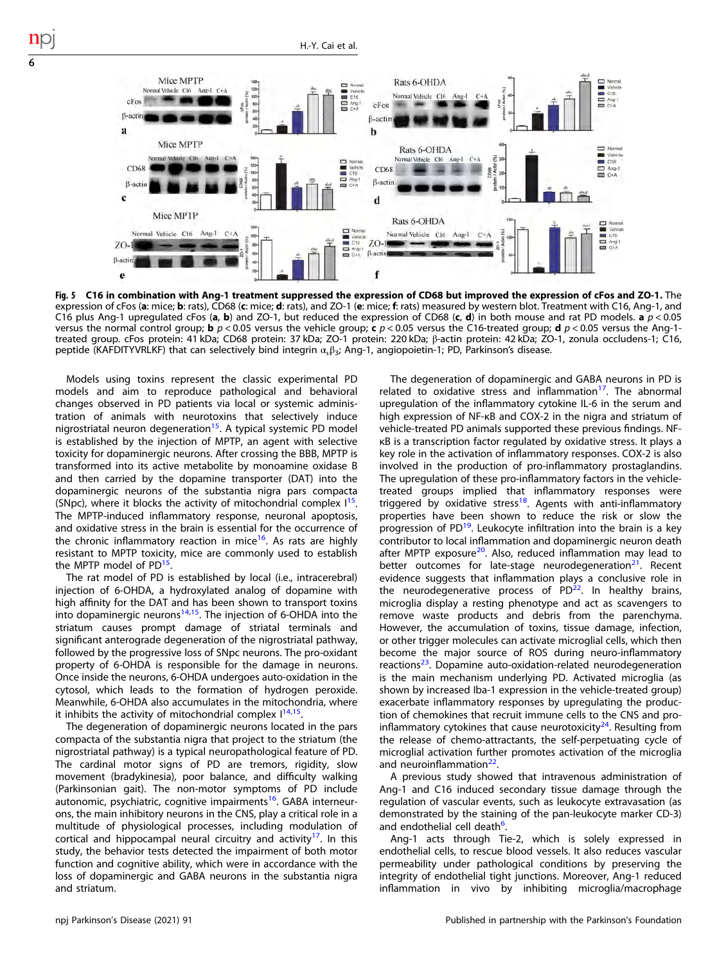<span id="page-5-0"></span>

Fig. 5 C16 in combination with Ang-1 treatment suppressed the expression of CD68 but improved the expression of cFos and ZO-1. The<br>expression of cFos (a: mice; b: rats), CD68 (c: mice; d: rats), and ZO-1 (e: mice; f: ra C16 plus Ang-1 upregulated cFos (a, b) and ZO-1, but reduced the expression of CD68 (c, d) in both mouse and rat PD models. a  $p < 0.05$ versus the normal control group; **b**  $p < 0.05$  versus the vehicle group; **c**  $p < 0.05$  versus the C16-treated group; **d**  $p < 0.05$  versus the Ang-1treated group. cFos protein: 41 kDa; CD68 protein: 37 kDa; ZO-1 protein: 220 kDa; β-actin protein: 42 kDa; ZO-1, zonula occludens-1; C16, peptide (KAFDITYVRLKF) that can selectively bind integrin  $\alpha_v \beta_3$ ; Ang-1, angiopoietin-1; PD, Parkinson's disease.

Models using toxins represent the classic experimental PD models and aim to reproduce pathological and behavioral changes observed in PD patients via local or systemic administration of animals with neurotoxins that selectively induce nigrostriatal neuron degeneration<sup>[15](#page-15-0)</sup>. A typical systemic PD model is established by the injection of MPTP, an agent with selective toxicity for dopaminergic neurons. After crossing the BBB, MPTP is transformed into its active metabolite by monoamine oxidase B and then carried by the dopamine transporter (DAT) into the dopaminergic neurons of the substantia nigra pars compacta (SNpc), where it blocks the activity of mitochondrial complex  $1^{15}$ . The MPTP-induced inflammatory response, neuronal apoptosis, and oxidative stress in the brain is essential for the occurrence of the chronic inflammatory reaction in mice<sup>[16](#page-15-0)</sup>. As rats are highly resistant to MPTP toxicity, mice are commonly used to establish the MPTP model of PD<sup>15</sup>

The rat model of PD is established by local (i.e., intracerebral) injection of 6-OHDA, a hydroxylated analog of dopamine with high affinity for the DAT and has been shown to transport toxins into dopaminergic neurons $14,15$  $14,15$  $14,15$ . The injection of 6-OHDA into the striatum causes prompt damage of striatal terminals and significant anterograde degeneration of the nigrostriatal pathway, followed by the progressive loss of SNpc neurons. The pro-oxidant property of 6-OHDA is responsible for the damage in neurons. Once inside the neurons, 6-OHDA undergoes auto-oxidation in the cytosol, which leads to the formation of hydrogen peroxide. Meanwhile, 6-OHDA also accumulates in the mitochondria, where it inhibits the activity of mitochondrial complex  $1^{14,15}$ .

The degeneration of dopaminergic neurons located in the pars compacta of the substantia nigra that project to the striatum (the nigrostriatal pathway) is a typical neuropathological feature of PD. The cardinal motor signs of PD are tremors, rigidity, slow movement (bradykinesia), poor balance, and difficulty walking (Parkinsonian gait). The non-motor symptoms of PD include autonomic, psychiatric, cognitive impairments<sup>16</sup>. GABA interneurons, the main inhibitory neurons in the CNS, play a critical role in a multitude of physiological processes, including modulation of cortical and hippocampal neural circuitry and activity<sup>17</sup>. In this study, the behavior tests detected the impairment of both motor function and cognitive ability, which were in accordance with the loss of dopaminergic and GABA neurons in the substantia nigra and striatum.

The degeneration of dopaminergic and GABA neurons in PD is related to oxidative stress and inflammation<sup>[17](#page-15-0)</sup>. The abnormal upregulation of the inflammatory cytokine IL-6 in the serum and high expression of NF-κB and COX-2 in the nigra and striatum of vehicle-treated PD animals supported these previous findings. NFκB is a transcription factor regulated by oxidative stress. It plays a key role in the activation of inflammatory responses. COX-2 is also involved in the production of pro-inflammatory prostaglandins. The upregulation of these pro-inflammatory factors in the vehicletreated groups implied that inflammatory responses were triggered by oxidative stress<sup>18</sup>. Agents with anti-inflammatory properties have been shown to reduce the risk or slow the progression of  $PD^{19}$ . Leukocyte infiltration into the brain is a key contributor to local inflammation and dopaminergic neuron death after MPTP exposure<sup>20</sup>. Also, reduced inflammation may lead to better outcomes for late-stage neurodegeneration<sup>[21](#page-15-0)</sup>. Recent evidence suggests that inflammation plays a conclusive role in the neurodegenerative process of  $PD^{22}$ . In healthy brains, microglia display a resting phenotype and act as scavengers to remove waste products and debris from the parenchyma. However, the accumulation of toxins, tissue damage, infection, or other trigger molecules can activate microglial cells, which then become the major source of ROS during neuro-inflammatory reactions<sup>[23](#page-15-0)</sup>. Dopamine auto-oxidation-related neurodegeneration is the main mechanism underlying PD. Activated microglia (as shown by increased Iba-1 expression in the vehicle-treated group) exacerbate inflammatory responses by upregulating the production of chemokines that recruit immune cells to the CNS and proinflammatory cytokines that cause neurotoxicity<sup>24</sup>. Resulting from the release of chemo-attractants, the self-perpetuating cycle of microglial activation further promotes activation of the microglia and neuroinflammation<sup>22</sup>.

A previous study showed that intravenous administration of Ang-1 and C16 induced secondary tissue damage through the regulation of vascular events, such as leukocyte extravasation (as demonstrated by the staining of the pan-leukocyte marker CD-3) and endothelial cell death<sup>o</sup>. .

Ang-1 acts through Tie-2, which is solely expressed in endothelial cells, to rescue blood vessels. It also reduces vascular permeability under pathological conditions by preserving the integrity of endothelial tight junctions. Moreover, Ang-1 reduced inflammation in vivo by inhibiting microglia/macrophage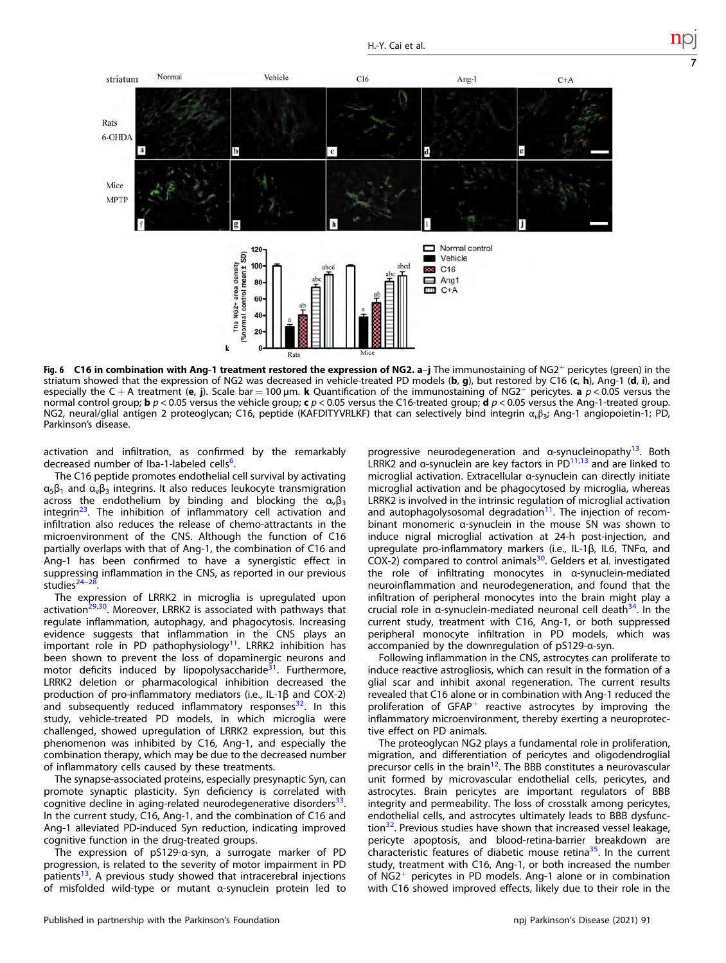<span id="page-6-0"></span>

Fig. 6 C16 in combination with Ang-1 treatment restored the expression of NG2. a–j The immunostaining of NG2<sup>+</sup> pericytes (green) in the striatum showed that the expression of NG2 was decreased in vehicle-treated PD models (b, g), but restored by C16 (c, h), Ang-1 (d, i), and especially the C + A treatment (e, j). Scale bar = 100 µm. k Quantification of the immunostaining of NG2+ pericytes. a  $p < 0.05$  versus the normal control group; **b**  $p < 0.05$  versus the vehicle group; **c**  $p < 0.05$  versus the C16-treated group; **d**  $p < 0.05$  versus the Ang-1-treated group. NG2, neural/glial antigen 2 proteoglycan; C16, peptide (KAFDITYVRLKF) that can selectively bind integrin α, β<sub>3</sub>; Ang-1 angiopoietin-1; PD, Parkinson's disease.

activation and infiltration, as confirmed by the remarkably decreased number of  $Iba-1$ -labeled cells<sup>[6](#page-14-0)</sup>. .

The C16 peptide promotes endothelial cell survival by activating  $\alpha_5\beta_1$  and  $\alpha_6\beta_3$  integrins. It also reduces leukocyte transmigration across the endothelium by binding and blocking the  $a_{\nu} \beta_3$ integrin<sup>23</sup>. The inhibition of inflammatory cell activation and infiltration also reduces the release of chemo-attractants in the microenvironment of the CNS. Although the function of C16 partially overlaps with that of Ang-1, the combination of C16 and Ang-1 has been confirmed to have a synergistic effect in suppressing inflammation in the CNS, as reported in our previous studies<sup>[24](#page-15-0)-[28](#page-15-0)</sup>.

The expression of LRRK2 in microglia is upregulated upon activation $29,30$ . Moreover, LRRK2 is associated with pathways that regulate inflammation, autophagy, and phagocytosis. Increasing evidence suggests that inflammation in the CNS plays an important role in PD pathophysiology<sup>[11](#page-14-0)</sup>. LRRK2 inhibition has been shown to prevent the loss of dopaminergic neurons and motor deficits induced by lipopolysaccharide $31$ . Furthermore, LRRK2 deletion or pharmacological inhibition decreased the production of pro-inflammatory mediators (i.e., IL-1β and COX-2) and subsequently reduced inflammatory responses $^{32}$ . In this study, vehicle-treated PD models, in which microglia were challenged, showed upregulation of LRRK2 expression, but this phenomenon was inhibited by C16, Ang-1, and especially the combination therapy, which may be due to the decreased number of inflammatory cells caused by these treatments.

The synapse-associated proteins, especially presynaptic Syn, can promote synaptic plasticity. Syn deficiency is correlated with cognitive decline in aging-related neurodegenerative disorders<sup>[33](#page-15-0)</sup>. In the current study, C16, Ang-1, and the combination of C16 and Ang-1 alleviated PD-induced Syn reduction, indicating improved cognitive function in the drug-treated groups.

The expression of pS129-α-syn, a surrogate marker of PD progression, is related to the severity of motor impairment in PD patients<sup>13</sup>. A previous study showed that intracerebral injections of misfolded wild-type or mutant α-synuclein protein led to progressive neurodegeneration and α-synucleinopathy<sup>13</sup>. Both LRRK2 and  $\alpha$ -synuclein are key factors in PD $^{11,13}$  $^{11,13}$  $^{11,13}$  and are linked to microglial activation. Extracellular α-synuclein can directly initiate microglial activation and be phagocytosed by microglia, whereas LRRK2 is involved in the intrinsic regulation of microglial activation and autophagolysosomal degradation $11$ . The injection of recombinant monomeric α-synuclein in the mouse SN was shown to induce nigral microglial activation at 24-h post-injection, and upregulate pro-inflammatory markers (i.e., IL-1β, IL6, TNFα, and COX-2) compared to control animals<sup>30</sup>. Gelders et al. investigated the role of infiltrating monocytes in α-synuclein-mediated neuroinflammation and neurodegeneration, and found that the infiltration of peripheral monocytes into the brain might play a crucial role in  $\alpha$ -synuclein-mediated neuronal cell death $34$ . In the current study, treatment with C16, Ang-1, or both suppressed peripheral monocyte infiltration in PD models, which was accompanied by the downregulation of pS129-α-syn.

Following inflammation in the CNS, astrocytes can proliferate to induce reactive astrogliosis, which can result in the formation of a glial scar and inhibit axonal regeneration. The current results revealed that C16 alone or in combination with Ang-1 reduced the proliferation of  $GFAP^+$  reactive astrocytes by improving the inflammatory microenvironment, thereby exerting a neuroprotective effect on PD animals.

The proteoglycan NG2 plays a fundamental role in proliferation, migration, and differentiation of pericytes and oligodendroglial precursor cells in the brain<sup>12</sup>. The BBB constitutes a neurovascular unit formed by microvascular endothelial cells, pericytes, and astrocytes. Brain pericytes are important regulators of BBB integrity and permeability. The loss of crosstalk among pericytes, endothelial cells, and astrocytes ultimately leads to BBB dysfunc-tion<sup>[32](#page-15-0)</sup>. Previous studies have shown that increased vessel leakage, pericyte apoptosis, and blood-retina-barrier breakdown are characteristic features of diabetic mouse retina<sup>35</sup>. In the current study, treatment with C16, Ang-1, or both increased the number of NG2<sup>+</sup> pericytes in PD models. Ang-1 alone or in combination with C16 showed improved effects, likely due to their role in the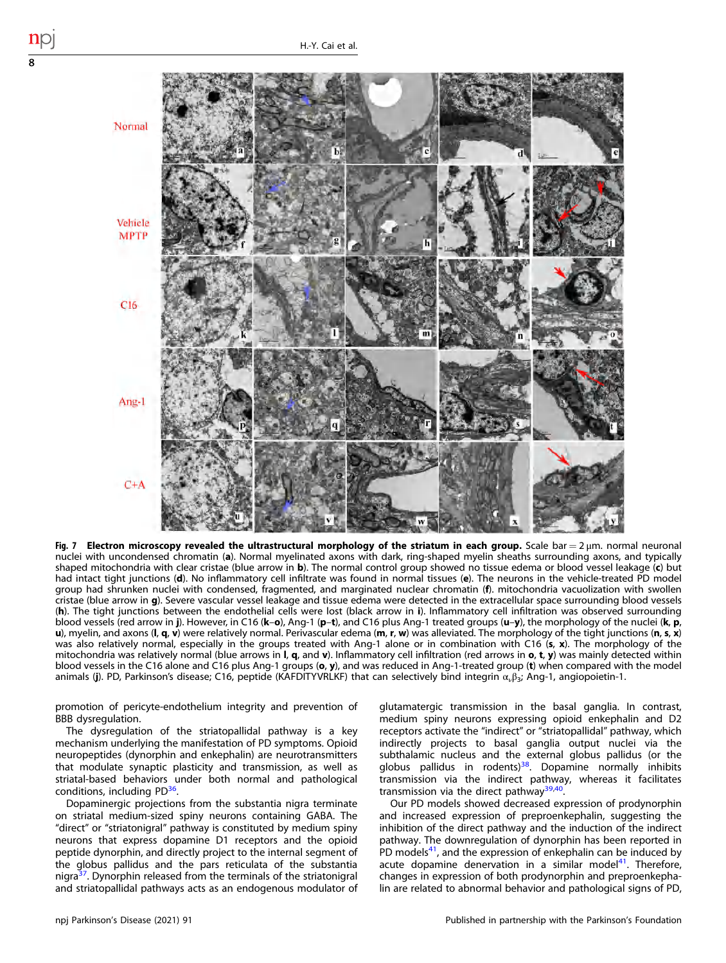<span id="page-7-0"></span>

Fig. 7 Electron microscopy revealed the ultrastructural morphology of the striatum in each group. Scale bar =  $2 \mu m$ . normal neuronal nuclei with uncondensed chromatin (a). Normal myelinated axons with dark, ring-shaped myelin sheaths surrounding axons, and typically shaped mitochondria with clear cristae (blue arrow in b). The normal control group showed no tissue edema or blood vessel leakage (c) but had intact tight junctions (d). No inflammatory cell infiltrate was found in normal tissues (e). The neurons in the vehicle-treated PD model group had shrunken nuclei with condensed, fragmented, and marginated nuclear chromatin (f). mitochondria vacuolization with swollen cristae (blue arrow in q). Severe vascular vessel leakage and tissue edema were detected in the extracellular space surrounding blood vessels (h). The tight junctions between the endothelial cells were lost (black arrow in i). Inflammatory cell infiltration was observed surrounding blood vessels (red arrow in j). However, in C16 (k–o), Ang-1 (p–t), and C16 plus Ang-1 treated groups (u–y), the morphology of the nuclei (k, p, u), myelin, and axons ( $I, q, v$ ) were relatively normal. Perivascular edema (m, r, w) was alleviated. The morphology of the tight junctions (n, s, x) was also relatively normal, especially in the groups treated with Ang-1 alone or in combination with C16 (s, x). The morphology of the mitochondria was relatively normal (blue arrows in  $I$ , q, and v). Inflammatory cell infiltration (red arrows in o, t, y) was mainly detected within blood vessels in the C16 alone and C16 plus Ang-1 groups (o, y), and was reduced in Ang-1-treated group (t) when compared with the model animals (j). PD, Parkinson's disease; C16, peptide (KAFDITYVRLKF) that can selectively bind integrin  $\alpha_{\nu}\beta_3$ ; Ang-1, angiopoietin-1.

promotion of pericyte-endothelium integrity and prevention of BBB dysregulation.

The dysregulation of the striatopallidal pathway is a key mechanism underlying the manifestation of PD symptoms. Opioid neuropeptides (dynorphin and enkephalin) are neurotransmitters that modulate synaptic plasticity and transmission, as well as striatal-based behaviors under both normal and pathological conditions, including PD<sup>36</sup>.

Dopaminergic projections from the substantia nigra terminate on striatal medium-sized spiny neurons containing GABA. The "direct" or "striatonigral" pathway is constituted by medium spiny neurons that express dopamine D1 receptors and the opioid peptide dynorphin, and directly project to the internal segment of the globus pallidus and the pars reticulata of the substantia nigra $37$ . Dynorphin released from the terminals of the striatonigral and striatopallidal pathways acts as an endogenous modulator of glutamatergic transmission in the basal ganglia. In contrast, medium spiny neurons expressing opioid enkephalin and D2 receptors activate the "indirect" or "striatopallidal" pathway, which indirectly projects to basal ganglia output nuclei via the subthalamic nucleus and the external globus pallidus (or the globus pallidus in rodents) $38$ . Dopamine normally inhibits transmission via the indirect pathway, whereas it facilitates transmission via the direct pathway<sup>39,40</sup>.

Our PD models showed decreased expression of prodynorphin and increased expression of preproenkephalin, suggesting the inhibition of the direct pathway and the induction of the indirect pathway. The downregulation of dynorphin has been reported in PD models $41$ , and the expression of enkephalin can be induced by acute dopamine denervation in a similar model $41$ . Therefore, changes in expression of both prodynorphin and preproenkephalin are related to abnormal behavior and pathological signs of PD,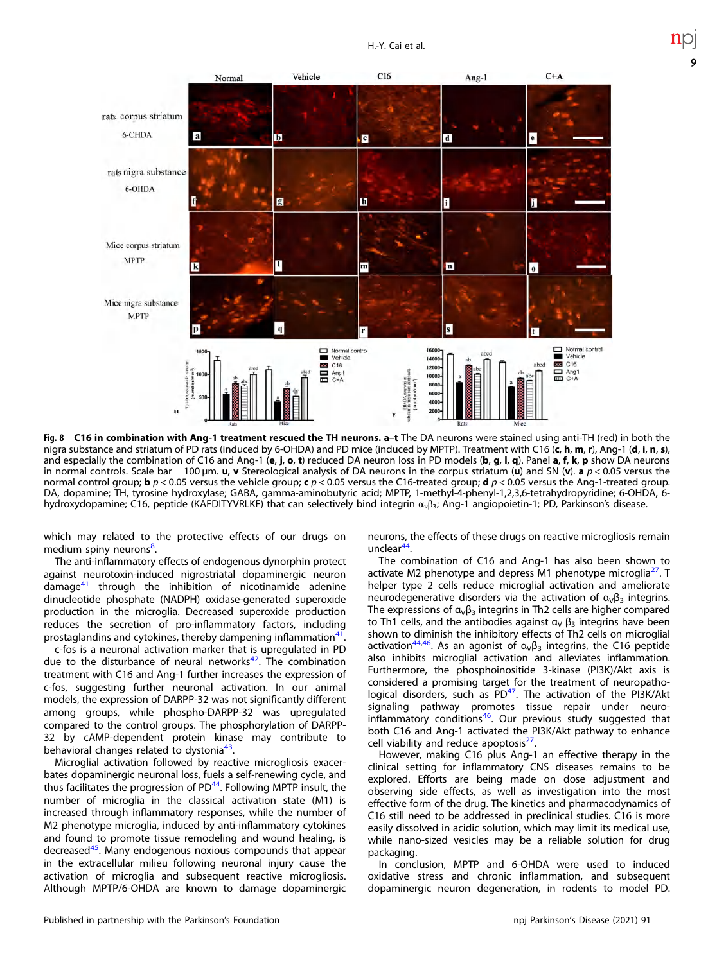<span id="page-8-0"></span>

Fig. 8 C16 in combination with Ang-1 treatment rescued the TH neurons. a-t The DA neurons were stained using anti-TH (red) in both the nigra substance and striatum of PD rats (induced by 6-OHDA) and PD mice (induced by MPTP). Treatment with C16 (c, h, m, r), Ang-1 (d, i, n, s), and especially the combination of C16 and Ang-1 (e, j, o, t) reduced DA neuron loss in PD models (b, g, l, q). Panel a, f, k, p show DA neurons in normal controls. Scale bar = 100  $\mu$ m. u, v Stereological analysis of DA neurons in the corpus striatum (u) and SN (v). a  $p < 0.05$  versus the normal control group; **b**  $p < 0.05$  versus the vehicle group; **c**  $p < 0.05$  versus the C16-treated group; **d**  $p < 0.05$  versus the Ang-1-treated group. DA, dopamine; TH, tyrosine hydroxylase; GABA, gamma-aminobutyric acid; MPTP, 1-methyl-4-phenyl-1,2,3,6-tetrahydropyridine; 6-OHDA, 6 hydroxydopamine; C16, peptide (KAFDITYVRLKF) that can selectively bind integrin ανβ3; Ang-1 angiopoietin-1; PD, Parkinson's disease.

which may related to the protective effects of our drugs on medium spiny neurons<sup>[8](#page-14-0)</sup>. .

The anti-inflammatory effects of endogenous dynorphin protect against neurotoxin-induced nigrostriatal dopaminergic neuron damage $41$  through the inhibition of nicotinamide adenine dinucleotide phosphate (NADPH) oxidase-generated superoxide production in the microglia. Decreased superoxide production reduces the secretion of pro-inflammatory factors, including prostaglandins and cytokines, thereby dampening inflammation<sup>[41](#page-15-0)</sup>.

c-fos is a neuronal activation marker that is upregulated in PD due to the disturbance of neural networks $42$ . The combination treatment with C16 and Ang-1 further increases the expression of c-fos, suggesting further neuronal activation. In our animal models, the expression of DARPP-32 was not significantly different among groups, while phospho-DARPP-32 was upregulated compared to the control groups. The phosphorylation of DARPP-32 by cAMP-dependent protein kinase may contribute to behavioral changes related to dystonia<sup>43</sup>.

Microglial activation followed by reactive microgliosis exacerbates dopaminergic neuronal loss, fuels a self-renewing cycle, and thus facilitates the progression of  $PD<sup>44</sup>$ . Following MPTP insult, the number of microglia in the classical activation state (M1) is increased through inflammatory responses, while the number of M2 phenotype microglia, induced by anti-inflammatory cytokines and found to promote tissue remodeling and wound healing, is decreased[45](#page-15-0). Many endogenous noxious compounds that appear in the extracellular milieu following neuronal injury cause the activation of microglia and subsequent reactive microgliosis. Although MPTP/6-OHDA are known to damage dopaminergic neurons, the effects of these drugs on reactive microgliosis remain  $unclear<sup>44</sup>$  $unclear<sup>44</sup>$  $unclear<sup>44</sup>$ 

9

The combination of C16 and Ang-1 has also been shown to activate M2 phenotype and depress M1 phenotype microglia $^{27}$ . T helper type 2 cells reduce microglial activation and ameliorate neurodegenerative disorders via the activation of  $\alpha_{\nu}\beta_3$  integrins. The expressions of  $\alpha_{v}\beta_{3}$  integrins in Th2 cells are higher compared to Th1 cells, and the antibodies against  $\alpha_V \beta_3$  integrins have been shown to diminish the inhibitory effects of Th2 cells on microglial activation<sup>44,46</sup>. As an agonist of  $\alpha_{\vee}\beta_3$  integrins, the C16 peptide also inhibits microglial activation and alleviates inflammation. Furthermore, the phosphoinositide 3-kinase (PI3K)/Akt axis is considered a promising target for the treatment of neuropatho-logical disorders, such as PD<sup>[47](#page-15-0)</sup>. The activation of the PI3K/Akt signaling pathway promotes tissue repair under neuroinflammatory conditions<sup>46</sup>. Our previous study suggested that both C16 and Ang-1 activated the PI3K/Akt pathway to enhance cell viability and reduce apoptosis<sup>[27](#page-15-0)</sup>

However, making C16 plus Ang-1 an effective therapy in the clinical setting for inflammatory CNS diseases remains to be explored. Efforts are being made on dose adjustment and observing side effects, as well as investigation into the most effective form of the drug. The kinetics and pharmacodynamics of C16 still need to be addressed in preclinical studies. C16 is more easily dissolved in acidic solution, which may limit its medical use, while nano-sized vesicles may be a reliable solution for drug packaging.

In conclusion, MPTP and 6-OHDA were used to induced oxidative stress and chronic inflammation, and subsequent dopaminergic neuron degeneration, in rodents to model PD.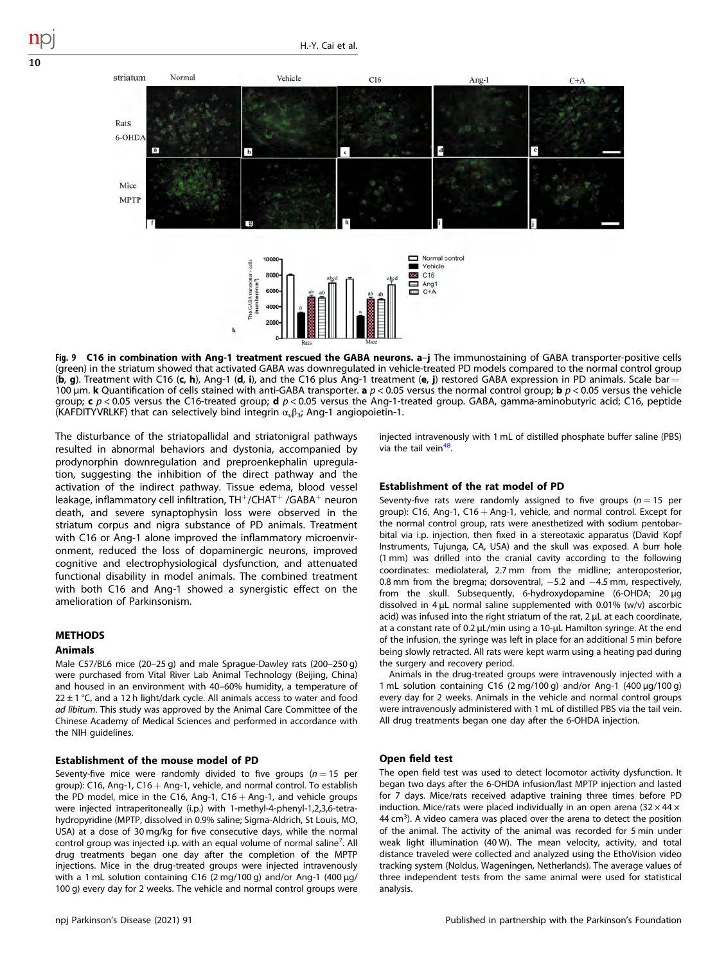<span id="page-9-0"></span>

Fig. 9 C16 in combination with Ang-1 treatment rescued the GABA neurons. a-j The immunostaining of GABA transporter-positive cells (green) in the striatum showed that activated GABA was downregulated in vehicle-treated PD models compared to the normal control group  $(b, g)$ . Treatment with C16 (c, h), Ang-1 (d, i), and the C16 plus Ang-1 treatment (e, j) restored GABA expression in PD animals. Scale bar = 100 µm. **k** Quantification of cells stained with anti-GABA transporter. **a**  $p < 0.05$  versus the normal control group; **b**  $p < 0.05$  versus the vehicle group; c  $p < 0.05$  versus the C16-treated group; d  $p < 0.05$  versus the Ang-1-treated group. GABA, gamma-aminobutyric acid; C16, peptide (KAFDITYVRLKF) that can selectively bind integrin  $\alpha_{\nu}\beta_3$ ; Ang-1 angiopoietin-1.

The disturbance of the striatopallidal and striatonigral pathways resulted in abnormal behaviors and dystonia, accompanied by prodynorphin downregulation and preproenkephalin upregulation, suggesting the inhibition of the direct pathway and the activation of the indirect pathway. Tissue edema, blood vessel leakage, inflammatory cell infiltration,  $TH^+/CHAT^+$  /GABA $^+$  neuron death, and severe synaptophysin loss were observed in the striatum corpus and nigra substance of PD animals. Treatment with C16 or Ang-1 alone improved the inflammatory microenvironment, reduced the loss of dopaminergic neurons, improved cognitive and electrophysiological dysfunction, and attenuated functional disability in model animals. The combined treatment with both C16 and Ang-1 showed a synergistic effect on the amelioration of Parkinsonism.

# **METHODS**

# Animals

Male C57/BL6 mice (20–25 g) and male Sprague-Dawley rats (200–250 g) were purchased from Vital River Lab Animal Technology (Beijing, China) and housed in an environment with 40–60% humidity, a temperature of  $22 \pm 1$  °C, and a 12 h light/dark cycle. All animals access to water and food ad libitum. This study was approved by the Animal Care Committee of the Chinese Academy of Medical Sciences and performed in accordance with the NIH guidelines.

# Establishment of the mouse model of PD

Seventy-five mice were randomly divided to five groups  $(n = 15$  per group): C16, Ang-1, C16  $+$  Ang-1, vehicle, and normal control. To establish the PD model, mice in the C16, Ang-1, C16  $+$  Ang-1, and vehicle groups were injected intraperitoneally (i.p.) with 1-methyl-4-phenyl-1,2,3,6-tetrahydropyridine (MPTP, dissolved in 0.9% saline; Sigma-Aldrich, St Louis, MO, USA) at a dose of 30 mg/kg for five consecutive days, while the normal control group was injected i.p. with an equal volume of normal saline<sup>7</sup>. All drug treatments began one day after the completion of the MPTP injections. Mice in the drug-treated groups were injected intravenously with a 1 mL solution containing C16 (2 mg/100 g) and/or Ang-1 (400 µg/ 100 g) every day for 2 weeks. The vehicle and normal control groups were

injected intravenously with 1 mL of distilled phosphate buffer saline (PBS) via the tail vein<sup>48</sup>.

#### Establishment of the rat model of PD

Seventy-five rats were randomly assigned to five groups  $(n = 15$  per group): C16, Ang-1, C16 + Ang-1, vehicle, and normal control. Except for the normal control group, rats were anesthetized with sodium pentobarbital via i.p. injection, then fixed in a stereotaxic apparatus (David Kopf Instruments, Tujunga, CA, USA) and the skull was exposed. A burr hole (1 mm) was drilled into the cranial cavity according to the following coordinates: mediolateral, 2.7 mm from the midline; anteroposterior, 0.8 mm from the bregma; dorsoventral, -5.2 and -4.5 mm, respectively, from the skull. Subsequently, 6-hydroxydopamine (6-OHDA; 20 µg dissolved in 4 µL normal saline supplemented with 0.01% (w/v) ascorbic acid) was infused into the right striatum of the rat, 2  $\mu$ L at each coordinate, at a constant rate of 0.2 µL/min using a 10-µL Hamilton syringe. At the end of the infusion, the syringe was left in place for an additional 5 min before being slowly retracted. All rats were kept warm using a heating pad during the surgery and recovery period.

Animals in the drug-treated groups were intravenously injected with a 1 mL solution containing C16 (2 mg/100 g) and/or Ang-1 (400 µg/100 g) every day for 2 weeks. Animals in the vehicle and normal control groups were intravenously administered with 1 mL of distilled PBS via the tail vein. All drug treatments began one day after the 6-OHDA injection.

#### Open field test

The open field test was used to detect locomotor activity dysfunction. It began two days after the 6-OHDA infusion/last MPTP injection and lasted for 7 days. Mice/rats received adaptive training three times before PD induction. Mice/rats were placed individually in an open arena  $(32 \times 44 \times$ 44 cm<sup>3</sup>). A video camera was placed over the arena to detect the position of the animal. The activity of the animal was recorded for 5 min under weak light illumination (40 W). The mean velocity, activity, and total distance traveled were collected and analyzed using the EthoVision video tracking system (Noldus, Wageningen, Netherlands). The average values of three independent tests from the same animal were used for statistical analysis.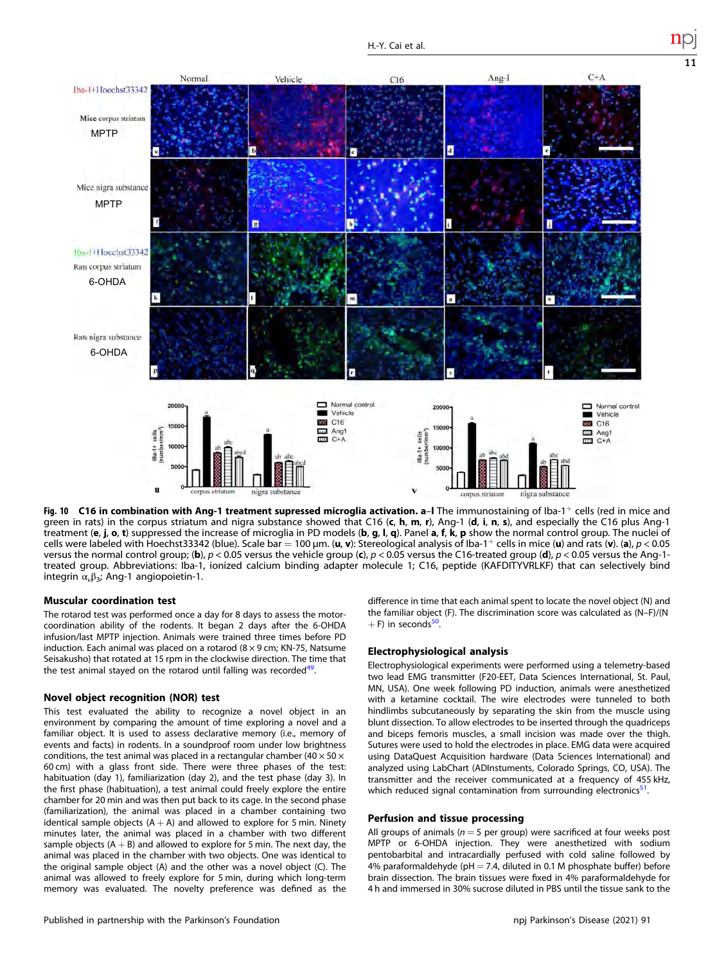<span id="page-10-0"></span>

Fig. 10 C16 in combination with Ang-1 treatment supressed microglia activation. a-I The immunostaining of Iba-1+ cells (red in mice and green in rats) in the corpus striatum and nigra substance showed that C16 (c, h, m, r), Ang-1 (d, i, n, s), and especially the C16 plus Ang-1 treatment (e, j, o, t) suppressed the increase of microglia in PD models (b, g, l, q). Panel a, f, k, p show the normal control group. The nuclei of cells were labeled with Hoechst33342 (blue). Scale bar = 100 µm. (u, v): Stereological analysis of Iba-1+ cells in mice (u) and rats (v). (a),  $p < 0.05$ versus the normal control group; (b),  $p < 0.05$  versus the vehicle group (c),  $p < 0.05$  versus the C16-treated group (d),  $p < 0.05$  versus the Ang-1treated group. Abbreviations: Iba-1, ionized calcium binding adapter molecule 1; C16, peptide (KAFDITYVRLKF) that can selectively bind integrin  $\alpha_{\nu} \beta_3$ ; Ang-1 angiopoietin-1.

# Muscular coordination test

The rotarod test was performed once a day for 8 days to assess the motorcoordination ability of the rodents. It began 2 days after the 6-OHDA infusion/last MPTP injection. Animals were trained three times before PD induction. Each animal was placed on a rotarod  $(8 \times 9 \text{ cm}; \text{KN-75}, \text{Natsume})$ Seisakusho) that rotated at 15 rpm in the clockwise direction. The time that the test animal stayed on the rotarod until falling was recorded<sup>49</sup>.

#### Novel object recognition (NOR) test

This test evaluated the ability to recognize a novel object in an environment by comparing the amount of time exploring a novel and a familiar object. It is used to assess declarative memory (i.e., memory of events and facts) in rodents. In a soundproof room under low brightness conditions, the test animal was placed in a rectangular chamber (40  $\times$  50  $\times$ 60 cm) with a glass front side. There were three phases of the test: habituation (day 1), familiarization (day 2), and the test phase (day 3). In the first phase (habituation), a test animal could freely explore the entire chamber for 20 min and was then put back to its cage. In the second phase (familiarization), the animal was placed in a chamber containing two identical sample objects  $(A + A)$  and allowed to explore for 5 min. Ninety minutes later, the animal was placed in a chamber with two different sample objects  $(A + B)$  and allowed to explore for 5 min. The next day, the animal was placed in the chamber with two objects. One was identical to the original sample object (A) and the other was a novel object (C). The animal was allowed to freely explore for 5 min, during which long-term memory was evaluated. The novelty preference was defined as the difference in time that each animal spent to locate the novel object (N) and the familiar object (F). The discrimination score was calculated as (N–F)/(N  $+ F$ ) in seconds<sup>50</sup>.

#### Electrophysiological analysis

Electrophysiological experiments were performed using a telemetry-based two lead EMG transmitter (F20-EET, Data Sciences International, St. Paul, MN, USA). One week following PD induction, animals were anesthetized with a ketamine cocktail. The wire electrodes were tunneled to both hindlimbs subcutaneously by separating the skin from the muscle using blunt dissection. To allow electrodes to be inserted through the quadriceps and biceps femoris muscles, a small incision was made over the thigh. Sutures were used to hold the electrodes in place. EMG data were acquired using DataQuest Acquisition hardware (Data Sciences International) and analyzed using LabChart (ADInstuments, Colorado Springs, CO, USA). The transmitter and the receiver communicated at a frequency of 455 kHz, which reduced signal contamination from surrounding electronics $51$ .

# Perfusion and tissue processing

All groups of animals ( $n = 5$  per group) were sacrificed at four weeks post MPTP or 6-OHDA injection. They were anesthetized with sodium pentobarbital and intracardially perfused with cold saline followed by 4% paraformaldehyde ( $pH = 7.4$ , diluted in 0.1 M phosphate buffer) before brain dissection. The brain tissues were fixed in 4% paraformaldehyde for 4 h and immersed in 30% sucrose diluted in PBS until the tissue sank to the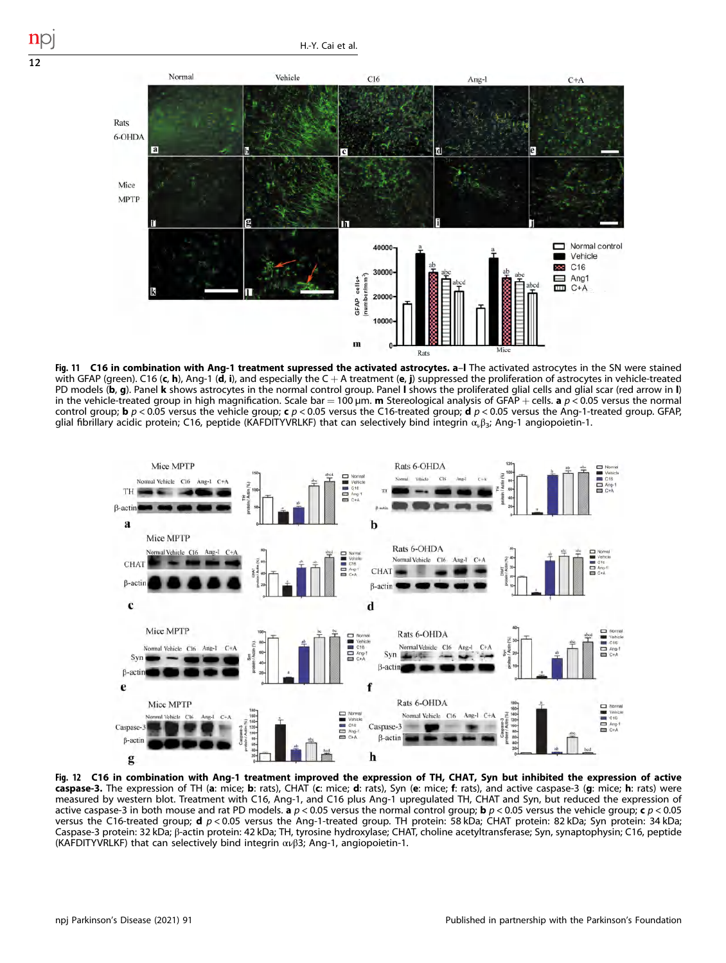<span id="page-11-0"></span>

Fig. 11 C16 in combination with Ang-1 treatment supressed the activated astrocytes. a-I The activated astrocytes in the SN were stained with GFAP (green). C16 (c, h), Ang-1 (d, i), and especially the C + A treatment (e, j) suppressed the proliferation of astrocytes in vehicle-treated PD models (b, g). Panel k shows astrocytes in the normal control group. Panel I shows the proliferated glial cells and glial scar (red arrow in I) in the vehicle-treated group in high magnification. Scale bar = 100  $\mu$ m. m Stereological analysis of GFAP + cells. a  $p < 0.05$  versus the normal control group; **b**  $p < 0.05$  versus the vehicle group; **c**  $p < 0.05$  versus the C16-treated group; **d**  $p < 0.05$  versus the Ang-1-treated group. GFAP, glial fibrillary acidic protein; C16, peptide (KAFDITYVRLKF) that can selectively bind integrin  $\alpha_{\nu}\beta_3$ ; Ang-1 angiopoietin-1.



Fig. 12 C16 in combination with Ang-1 treatment improved the expression of TH, CHAT, Syn but inhibited the expression of active caspase-3. The expression of TH (a: mice; b: rats), CHAT (c: mice; d: rats), Syn (e: mice; f: rats), and active caspase-3 (g: mice; h: rats) were measured by western blot. Treatment with C16, Ang-1, and C16 plus Ang-1 upregulated TH, CHAT and Syn, but reduced the expression of active caspase-3 in both mouse and rat PD models. **a**  $p < 0.05$  versus the normal control group; **b**  $p < 0.05$  versus the vehicle group; **c**  $p < 0.05$ versus the C16-treated group;  $d$  p < 0.05 versus the Ang-1-treated group. TH protein: 58 kDa; CHAT protein: 82 kDa; Syn protein: 34 kDa; Caspase-3 protein: 32 kDa; β-actin protein: 42 kDa; TH, tyrosine hydroxylase; CHAT, choline acetyltransferase; Syn, synaptophysin; C16, peptide (KAFDITYVRLKF) that can selectively bind integrin ανβ3; Ang-1, angiopoietin-1.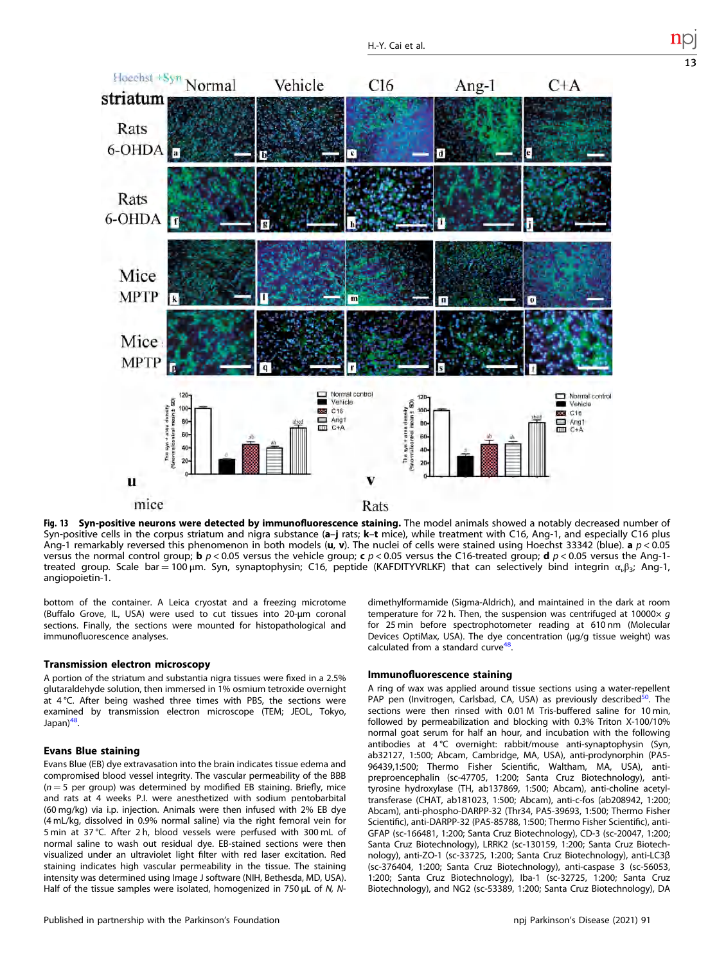<span id="page-12-0"></span>

Fig. 13 Syn-positive neurons were detected by immunofluorescence staining. The model animals showed a notably decreased number of Syn-positive cells in the corpus striatum and nigra substance (a-j rats; k-t mice), while treatment with C16, Ang-1, and especially C16 plus Ang-1 remarkably reversed this phenomenon in both models (u, v). The nuclei of cells were stained using Hoechst 33342 (blue). a  $p < 0.05$ versus the normal control group; **b**  $p < 0.05$  versus the vehicle group; **c**  $p < 0.05$  versus the C16-treated group; **d**  $p < 0.05$  versus the Ang-1treated group. Scale bar = 100 μm. Syn, synaptophysin; C16, peptide (KAFDITYVRLKF) that can selectively bind integrin  $\alpha_i\beta_{3}$ ; Ang-1, angiopoietin-1.

bottom of the container. A Leica cryostat and a freezing microtome (Buffalo Grove, IL, USA) were used to cut tissues into 20-μm coronal sections. Finally, the sections were mounted for histopathological and immunofluorescence analyses.

# Transmission electron microscopy

A portion of the striatum and substantia nigra tissues were fixed in a 2.5% glutaraldehyde solution, then immersed in 1% osmium tetroxide overnight at 4 °C. After being washed three times with PBS, the sections were examined by transmission electron microscope (TEM; JEOL, Tokyo, Japan)<sup>48</sup>.

# Evans Blue staining

Evans Blue (EB) dye extravasation into the brain indicates tissue edema and compromised blood vessel integrity. The vascular permeability of the BBB  $(n = 5$  per group) was determined by modified EB staining. Briefly, mice and rats at 4 weeks P.I. were anesthetized with sodium pentobarbital (60 mg/kg) via i.p. injection. Animals were then infused with 2% EB dye (4 mL/kg, dissolved in 0.9% normal saline) via the right femoral vein for 5 min at 37 °C. After 2 h, blood vessels were perfused with 300 mL of normal saline to wash out residual dye. EB-stained sections were then visualized under an ultraviolet light filter with red laser excitation. Red staining indicates high vascular permeability in the tissue. The staining intensity was determined using Image J software (NIH, Bethesda, MD, USA). Half of the tissue samples were isolated, homogenized in 750 μL of N, N- dimethylformamide (Sigma-Aldrich), and maintained in the dark at room temperature for 72 h. Then, the suspension was centrifuged at 10000 $\times$  q for 25 min before spectrophotometer reading at 610 nm (Molecular Devices OptiMax, USA). The dye concentration (μg/g tissue weight) was calculated from a standard curve<sup>48</sup>.

# Immunofluorescence staining

A ring of wax was applied around tissue sections using a water-repellent PAP pen (Invitrogen, Carlsbad, CA, USA) as previously described<sup>50</sup>. The sections were then rinsed with 0.01 M Tris-buffered saline for 10 min, followed by permeabilization and blocking with 0.3% Triton X-100/10% normal goat serum for half an hour, and incubation with the following antibodies at 4 °C overnight: rabbit/mouse anti-synaptophysin (Syn, ab32127, 1:500; Abcam, Cambridge, MA, USA), anti-prodynorphin (PA5- 96439,1:500; Thermo Fisher Scientific, Waltham, MA, USA), antipreproencephalin (sc-47705, 1:200; Santa Cruz Biotechnology), antityrosine hydroxylase (TH, ab137869, 1:500; Abcam), anti-choline acetyltransferase (CHAT, ab181023, 1:500; Abcam), anti-c-fos (ab208942, 1:200; Abcam), anti-phospho-DARPP-32 (Thr34, PA5-39693, 1:500; Thermo Fisher Scientific), anti-DARPP-32 (PA5-85788, 1:500; Thermo Fisher Scientific), anti-GFAP (sc-166481, 1:200; Santa Cruz Biotechnology), CD-3 (sc-20047, 1:200; Santa Cruz Biotechnology), LRRK2 (sc-130159, 1:200; Santa Cruz Biotechnology), anti-ZO-1 (sc-33725, 1:200; Santa Cruz Biotechnology), anti-LC3β (sc-376404, 1:200; Santa Cruz Biotechnology), anti-caspase 3 (sc-56053, 1:200; Santa Cruz Biotechnology), Iba-1 (sc-32725, 1:200; Santa Cruz Biotechnology), and NG2 (sc-53389, 1:200; Santa Cruz Biotechnology), DA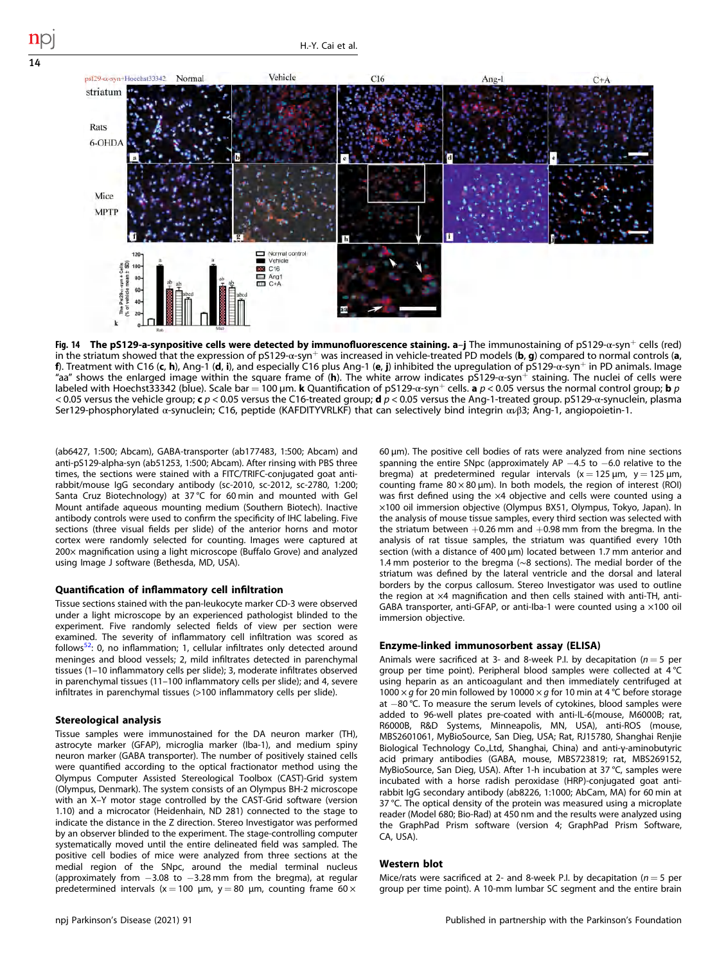<span id="page-13-0"></span>

Fig. 14 The pS129-a-synpositive cells were detected by immunofluorescence staining. a–j The immunostaining of pS129- $\alpha$ -syn<sup>+</sup> cells (red) in the striatum showed that the expression of  $p5129-\alpha$ -syn<sup>+</sup> was increased in vehicle-treated PD models (**b**, g) compared to normal controls (**a**, f). Treatment with C16 (c, h), Ang-1 (d, i), and especially C16 plus Ang-1 (e, j) inhibited the upregulation of pS129- $\alpha$ -syn<sup>+</sup> in PD animals. Image "aa" shows the enlarged image within the square frame of (h). The white arrow indicates  $p5129$ -α-syn<sup>+</sup> staining. The nuclei of cells were labeled with Hoechst33342 (blue). Scale bar = 100 µm. **k** Quantification of pS129-α-syn<sup>+</sup> cells. **a**  $p < 0.05$  versus the normal control group; **b** p < 0.05 versus the vehicle group; c  $p$  < 0.05 versus the C16-treated group; d  $p$  < 0.05 versus the Ang-1-treated group. pS129-α-synuclein, plasma Ser129-phosphorylated α-synuclein; C16, peptide (KAFDITYVRLKF) that can selectively bind integrin ανβ3; Ang-1, angiopoietin-1.

(ab6427, 1:500; Abcam), GABA-transporter (ab177483, 1:500; Abcam) and anti-pS129-alpha-syn (ab51253, 1:500; Abcam). After rinsing with PBS three times, the sections were stained with a FITC/TRIFC-conjugated goat antirabbit/mouse IgG secondary antibody (sc-2010, sc-2012, sc-2780, 1:200; Santa Cruz Biotechnology) at 37 °C for 60 min and mounted with Gel Mount antifade aqueous mounting medium (Southern Biotech). Inactive antibody controls were used to confirm the specificity of IHC labeling. Five sections (three visual fields per slide) of the anterior horns and motor cortex were randomly selected for counting. Images were captured at 200× magnification using a light microscope (Buffalo Grove) and analyzed using Image J software (Bethesda, MD, USA).

#### Quantification of inflammatory cell infiltration

Tissue sections stained with the pan-leukocyte marker CD-3 were observed under a light microscope by an experienced pathologist blinded to the experiment. Five randomly selected fields of view per section were examined. The severity of inflammatory cell infiltration was scored as follows[52:](#page-15-0) 0, no inflammation; 1, cellular infiltrates only detected around meninges and blood vessels; 2, mild infiltrates detected in parenchymal tissues (1–10 inflammatory cells per slide); 3, moderate infiltrates observed in parenchymal tissues (11–100 inflammatory cells per slide); and 4, severe infiltrates in parenchymal tissues (>100 inflammatory cells per slide).

#### Stereological analysis

Tissue samples were immunostained for the DA neuron marker (TH), astrocyte marker (GFAP), microglia marker (Iba-1), and medium spiny neuron marker (GABA transporter). The number of positively stained cells were quantified according to the optical fractionator method using the Olympus Computer Assisted Stereological Toolbox (CAST)-Grid system (Olympus, Denmark). The system consists of an Olympus BH-2 microscope with an X–Y motor stage controlled by the CAST-Grid software (version 1.10) and a microcator (Heidenhain, ND 281) connected to the stage to indicate the distance in the Z direction. Stereo Investigator was performed by an observer blinded to the experiment. The stage-controlling computer systematically moved until the entire delineated field was sampled. The positive cell bodies of mice were analyzed from three sections at the medial region of the SNpc, around the medial terminal nucleus (approximately from −3.08 to −3.28 mm from the bregma), at regular predetermined intervals (x = 100 µm, y = 80 µm, counting frame 60  $\times$ 

60 μm). The positive cell bodies of rats were analyzed from nine sections spanning the entire SNpc (approximately AP −4.5 to −6.0 relative to the bregma) at predetermined regular intervals ( $x = 125 \mu m$ ,  $y = 125 \mu m$ , counting frame  $80 \times 80$  µm). In both models, the region of interest (ROI) was first defined using the ×4 objective and cells were counted using a ×100 oil immersion objective (Olympus BX51, Olympus, Tokyo, Japan). In the analysis of mouse tissue samples, every third section was selected with the striatum between  $+0.26$  mm and  $+0.98$  mm from the bregma. In the analysis of rat tissue samples, the striatum was quantified every 10th section (with a distance of 400 μm) located between 1.7 mm anterior and 1.4 mm posterior to the bregma (∼8 sections). The medial border of the striatum was defined by the lateral ventricle and the dorsal and lateral borders by the corpus callosum. Stereo Investigator was used to outline the region at ×4 magnification and then cells stained with anti-TH, anti-GABA transporter, anti-GFAP, or anti-Iba-1 were counted using a ×100 oil immersion objective.

# Enzyme-linked immunosorbent assay (ELISA)

Animals were sacrificed at 3- and 8-week P.I. by decapitation ( $n = 5$  per group per time point). Peripheral blood samples were collected at 4 °C using heparin as an anticoagulant and then immediately centrifuged at 1000  $\times$  g for 20 min followed by 10000  $\times$  g for 10 min at 4 °C before storage at −80 °C. To measure the serum levels of cytokines, blood samples were added to 96-well plates pre-coated with anti-IL-6(mouse, M6000B; rat, R6000B, R&D Systems, Minneapolis, MN, USA), anti-ROS (mouse, MBS2601061, MyBioSource, San Dieg, USA; Rat, RJ15780, Shanghai Renjie Biological Technology Co.,Ltd, Shanghai, China) and anti-γ-aminobutyric acid primary antibodies (GABA, mouse, MBS723819; rat, MBS269152, MyBioSource, San Dieg, USA). After 1-h incubation at 37 °C, samples were incubated with a horse radish peroxidase (HRP)-conjugated goat antirabbit IgG secondary antibody (ab8226, 1:1000; AbCam, MA) for 60 min at 37 °C. The optical density of the protein was measured using a microplate reader (Model 680; Bio-Rad) at 450 nm and the results were analyzed using the GraphPad Prism software (version 4; GraphPad Prism Software, CA, USA).

# Western blot

Mice/rats were sacrificed at 2- and 8-week P.I. by decapitation ( $n = 5$  per group per time point). A 10-mm lumbar SC segment and the entire brain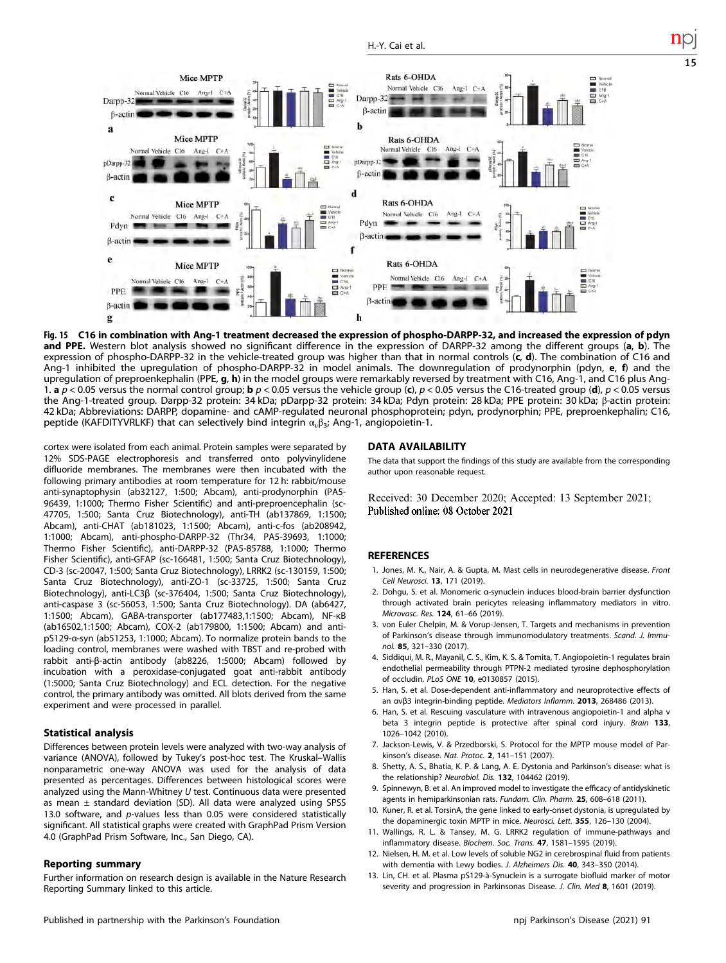<span id="page-14-0"></span>

Fig. 15 C16 in combination with Ang-1 treatment decreased the expression of phospho-DARPP-32, and increased the expression of pdyn and PPE. Western blot analysis showed no significant difference in the expression of DARPP-32 among the different groups (a, b). The expression of phospho-DARPP-32 in the vehicle-treated group was higher than that in normal controls  $(c, d)$ . The combination of C16 and Ang-1 inhibited the upregulation of phospho-DARPP-32 in model animals. The downregulation of prodynorphin (pdyn, e, f) and the upregulation of preproenkephalin (PPE, g, h) in the model groups were remarkably reversed by treatment with C16, Ang-1, and C16 plus Ang-1. a  $p < 0.05$  versus the normal control group; b  $p < 0.05$  versus the vehicle group (c),  $p < 0.05$  versus the C16-treated group (d),  $p < 0.05$  versus the Ang-1-treated group. Darpp-32 protein: 34 kDa; pDarpp-32 protein: 34 kDa; Pdyn protein: 28 kDa; PPE protein: 30 kDa; β-actin protein: 42 kDa; Abbreviations: DARPP, dopamine- and cAMP-regulated neuronal phosphoprotein; pdyn, prodynorphin; PPE, preproenkephalin; C16, peptide (KAFDITYVRLKF) that can selectively bind integrin  $\alpha_{\nu}\beta_3$ ; Ang-1, angiopoietin-1.

cortex were isolated from each animal. Protein samples were separated by 12% SDS-PAGE electrophoresis and transferred onto polyvinylidene difluoride membranes. The membranes were then incubated with the following primary antibodies at room temperature for 12 h: rabbit/mouse anti-synaptophysin (ab32127, 1:500; Abcam), anti-prodynorphin (PA5- 96439, 1:1000; Thermo Fisher Scientific) and anti-preproencephalin (sc-47705, 1:500; Santa Cruz Biotechnology), anti-TH (ab137869, 1:1500; Abcam), anti-CHAT (ab181023, 1:1500; Abcam), anti-c-fos (ab208942, 1:1000; Abcam), anti-phospho-DARPP-32 (Thr34, PA5-39693, 1:1000; Thermo Fisher Scientific), anti-DARPP-32 (PA5-85788, 1:1000; Thermo Fisher Scientific), anti-GFAP (sc-166481, 1:500; Santa Cruz Biotechnology), CD-3 (sc-20047, 1:500; Santa Cruz Biotechnology), LRRK2 (sc-130159, 1:500; Santa Cruz Biotechnology), anti-ZO-1 (sc-33725, 1:500; Santa Cruz Biotechnology), anti-LC3β (sc-376404, 1:500; Santa Cruz Biotechnology), anti-caspase 3 (sc-56053, 1:500; Santa Cruz Biotechnology). DA (ab6427, 1:1500; Abcam), GABA-transporter (ab177483,1:1500; Abcam), NF-κB (ab16502,1:1500; Abcam), COX-2 (ab179800, 1:1500; Abcam) and antipS129-α-syn (ab51253, 1:1000; Abcam). To normalize protein bands to the loading control, membranes were washed with TBST and re-probed with rabbit anti-β-actin antibody (ab8226, 1:5000; Abcam) followed by incubation with a peroxidase-conjugated goat anti-rabbit antibody (1:5000; Santa Cruz Biotechnology) and ECL detection. For the negative control, the primary antibody was omitted. All blots derived from the same experiment and were processed in parallel.

# Statistical analysis

Differences between protein levels were analyzed with two-way analysis of variance (ANOVA), followed by Tukey's post-hoc test. The Kruskal–Wallis nonparametric one-way ANOVA was used for the analysis of data presented as percentages. Differences between histological scores were analyzed using the Mann-Whitney  $U$  test. Continuous data were presented as mean ± standard deviation (SD). All data were analyzed using SPSS 13.0 software, and p-values less than 0.05 were considered statistically significant. All statistical graphs were created with GraphPad Prism Version 4.0 (GraphPad Prism Software, Inc., San Diego, CA).

#### Reporting summary

Further information on research design is available in the Nature Research Reporting Summary linked to this article.

#### DATA AVAILABILITY

The data that support the findings of this study are available from the corresponding author upon reasonable request.

Received: 30 December 2020; Accepted: 13 September 2021; Published online: 08 October 2021

#### **REFERENCES**

- 1. Jones, M. K., Nair, A. & Gupta, M. Mast cells in neurodegenerative disease. Front Cell Neurosci. 13, 171 (2019).
- 2. Dohgu, S. et al. Monomeric α-synuclein induces blood-brain barrier dysfunction through activated brain pericytes releasing inflammatory mediators in vitro. Microvasc. Res. 124, 61–66 (2019).
- 3. von Euler Chelpin, M. & Vorup-Jensen, T. Targets and mechanisms in prevention of Parkinson's disease through immunomodulatory treatments. Scand. J. Immunol. 85, 321–330 (2017).
- 4. Siddiqui, M. R., Mayanil, C. S., Kim, K. S. & Tomita, T. Angiopoietin-1 regulates brain endothelial permeability through PTPN-2 mediated tyrosine dephosphorylation of occludin. PLoS ONE 10, e0130857 (2015).
- 5. Han, S. et al. Dose-dependent anti-inflammatory and neuroprotective effects of an ανβ3 integrin-binding peptide. Mediators Inflamm. 2013, 268486 (2013).
- 6. Han, S. et al. Rescuing vasculature with intravenous angiopoietin-1 and alpha v beta 3 integrin peptide is protective after spinal cord injury. Brain 133, 1026–1042 (2010).
- 7. Jackson-Lewis, V. & Przedborski, S. Protocol for the MPTP mouse model of Parkinson's disease. Nat. Protoc. 2, 141–151 (2007).
- 8. Shetty, A. S., Bhatia, K. P. & Lang, A. E. Dystonia and Parkinson's disease: what is the relationship? Neurobiol. Dis. 132, 104462 (2019).
- 9. Spinnewyn, B. et al. An improved model to investigate the efficacy of antidyskinetic agents in hemiparkinsonian rats. Fundam. Clin. Pharm. 25, 608–618 (2011).
- 10. Kuner, R. et al. TorsinA, the gene linked to early-onset dystonia, is upregulated by the dopaminergic toxin MPTP in mice. Neurosci. Lett. 355, 126–130 (2004).
- 11. Wallings, R. L. & Tansey, M. G. LRRK2 regulation of immune-pathways and inflammatory disease. Biochem. Soc. Trans. 47, 1581–1595 (2019).
- 12. Nielsen, H. M. et al. Low levels of soluble NG2 in cerebrospinal fluid from patients with dementia with Lewy bodies. J. Alzheimers Dis. 40, 343–350 (2014).
- 13. Lin, CH. et al. Plasma pS129-à-Synuclein is a surrogate biofluid marker of motor severity and progression in Parkinsonas Disease. J. Clin. Med 8, 1601 (2019).